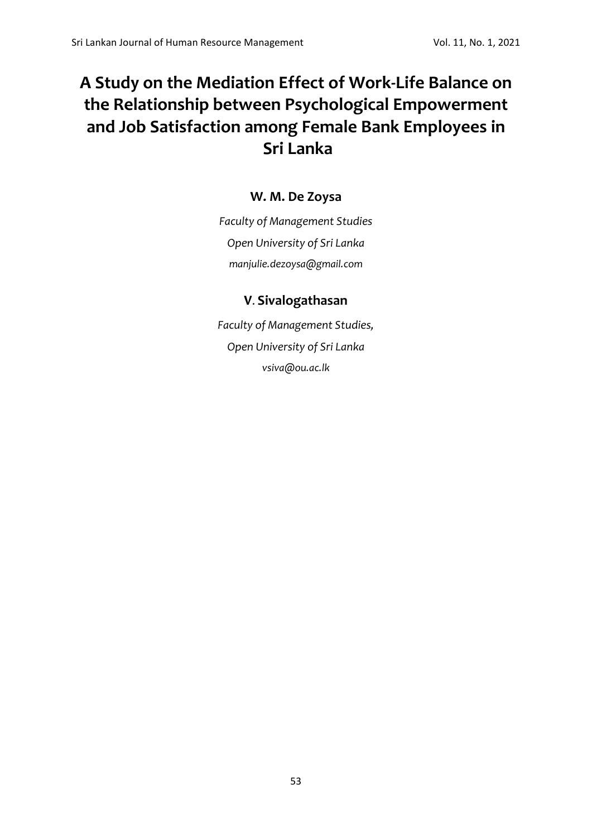# **A Study on the Mediation Effect of Work-Life Balance on the Relationship between Psychological Empowerment and Job Satisfaction among Female Bank Employees in Sri Lanka**

## **W. M. De Zoysa**

*Faculty of Management Studies Open University of Sri Lanka [manjulie.dezoysa@gmail.com](mailto:manjulie.dezoysa@gmail.com)*

## **V**. **Sivalogathasan**

*Faculty of Management Studies, Open University of Sri Lanka [vsiva@ou.ac.lk](mailto:vsiva@ou.ac.lk)*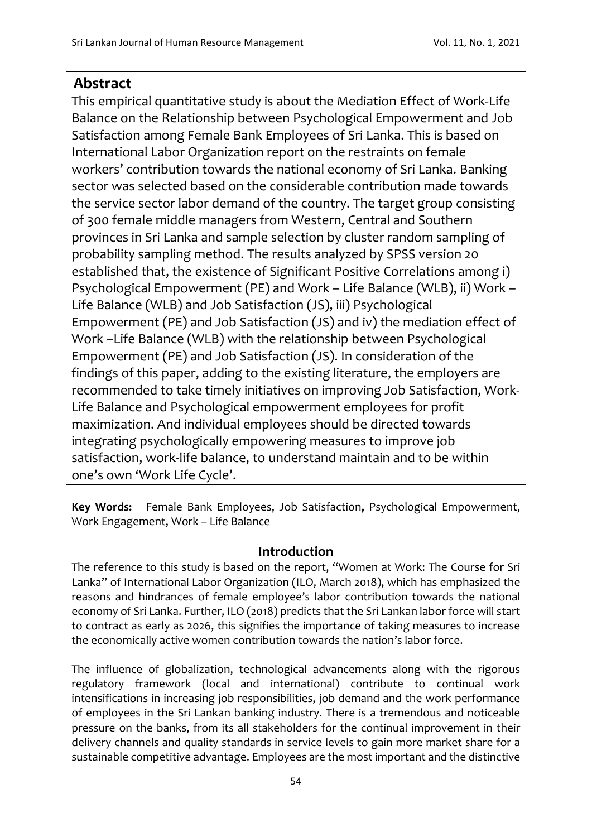## **Abstract**

This empirical quantitative study is about the Mediation Effect of Work-Life Balance on the Relationship between Psychological Empowerment and Job Satisfaction among Female Bank Employees of Sri Lanka. This is based on International Labor Organization report on the restraints on female workers' contribution towards the national economy of Sri Lanka. Banking sector was selected based on the considerable contribution made towards the service sector labor demand of the country. The target group consisting of 300 female middle managers from Western, Central and Southern provinces in Sri Lanka and sample selection by cluster random sampling of probability sampling method. The results analyzed by SPSS version 20 established that, the existence of Significant Positive Correlations among i) Psychological Empowerment (PE) and Work – Life Balance (WLB), ii) Work – Life Balance (WLB) and Job Satisfaction (JS), iii) Psychological Empowerment (PE) and Job Satisfaction (JS) and iv) the mediation effect of Work –Life Balance (WLB) with the relationship between Psychological Empowerment (PE) and Job Satisfaction (JS). In consideration of the findings of this paper, adding to the existing literature, the employers are recommended to take timely initiatives on improving Job Satisfaction, Work-Life Balance and Psychological empowerment employees for profit maximization. And individual employees should be directed towards integrating psychologically empowering measures to improve job satisfaction, work-life balance, to understand maintain and to be within one's own 'Work Life Cycle'.

**Key Words:** Female Bank Employees, Job Satisfaction**,** Psychological Empowerment, Work Engagement, Work – Life Balance

## **Introduction**

The reference to this study is based on the report, "Women at Work: The Course for Sri Lanka" of International Labor Organization (ILO, March 2018), which has emphasized the reasons and hindrances of female employee's labor contribution towards the national economy of Sri Lanka. Further, ILO (2018) predicts that the Sri Lankan labor force will start to contract as early as 2026, this signifies the importance of taking measures to increase the economically active women contribution towards the nation's labor force.

The influence of globalization, technological advancements along with the rigorous regulatory framework (local and international) contribute to continual work intensifications in increasing job responsibilities, job demand and the work performance of employees in the Sri Lankan banking industry. There is a tremendous and noticeable pressure on the banks, from its all stakeholders for the continual improvement in their delivery channels and quality standards in service levels to gain more market share for a sustainable competitive advantage. Employees are the most important and the distinctive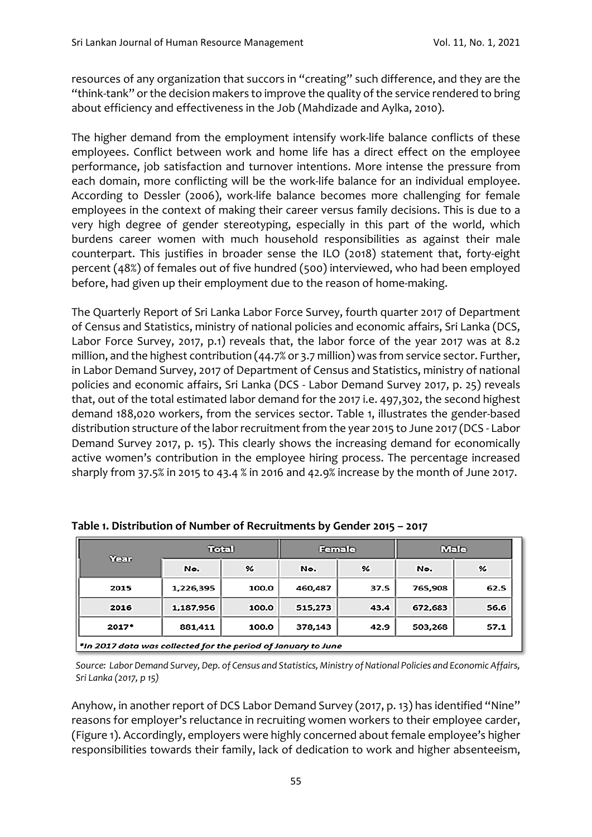resources of any organization that succors in "creating" such difference, and they are the "think-tank" or the decision makers to improve the quality of the service rendered to bring about efficiency and effectiveness in the Job (Mahdizade and Aylka, 2010).

The higher demand from the employment intensify work-life balance conflicts of these employees. Conflict between work and home life has a direct effect on the employee performance, job satisfaction and turnover intentions. More intense the pressure from each domain, more conflicting will be the work-life balance for an individual employee. According to Dessler (2006), work-life balance becomes more challenging for female employees in the context of making their career versus family decisions. This is due to a very high degree of gender stereotyping, especially in this part of the world, which burdens career women with much household responsibilities as against their male counterpart. This justifies in broader sense the ILO (2018) statement that, forty-eight percent (48%) of females out of five hundred (500) interviewed, who had been employed before, had given up their employment due to the reason of home-making.

The Quarterly Report of Sri Lanka Labor Force Survey, fourth quarter 2017 of Department of Census and Statistics, ministry of national policies and economic affairs, Sri Lanka (DCS, Labor Force Survey, 2017, p.1) reveals that, the labor force of the year 2017 was at 8.2 million, and the highest contribution (44.7% or 3.7 million) was from service sector. Further, in Labor Demand Survey, 2017 of Department of Census and Statistics, ministry of national policies and economic affairs, Sri Lanka (DCS - Labor Demand Survey 2017, p. 25) reveals that, out of the total estimated labor demand for the 2017 i.e. 497,302, the second highest demand 188,020 workers, from the services sector. Table 1, illustrates the gender-based distribution structure of the labor recruitment from the year 2015 to June 2017 (DCS - Labor Demand Survey 2017, p. 15). This clearly shows the increasing demand for economically active women's contribution in the employee hiring process. The percentage increased sharply from 37.5% in 2015 to 43.4 % in 2016 and 42.9% increase by the month of June 2017.

| Year                                                          | Total     |       | Female  |      | Male    |      |
|---------------------------------------------------------------|-----------|-------|---------|------|---------|------|
|                                                               | No.       | %     | No.     | %    | No.     | %    |
| 2015                                                          | 1,226,395 | 100.0 | 460,487 | 37.5 | 765,908 | 62.5 |
| 2016                                                          | 1,187,956 | 100.0 | 515,273 | 43.4 | 672,683 | 56.6 |
| 2017*                                                         | 881,411   | 100.0 | 378,143 | 42.9 | 503,268 | 57.1 |
| *In 2017 data was collected for the period of January to June |           |       |         |      |         |      |

**Table 1. Distribution of Number of Recruitments by Gender 2015 – 2017**

*Source: Labor Demand Survey, Dep. of Census and Statistics, Ministry of National Policies and Economic Affairs, Sri Lanka (2017, p 15)* 

Anyhow, in another report of DCS Labor Demand Survey (2017, p. 13) has identified "Nine" reasons for employer's reluctance in recruiting women workers to their employee carder, (Figure 1). Accordingly, employers were highly concerned about female employee's higher responsibilities towards their family, lack of dedication to work and higher absenteeism,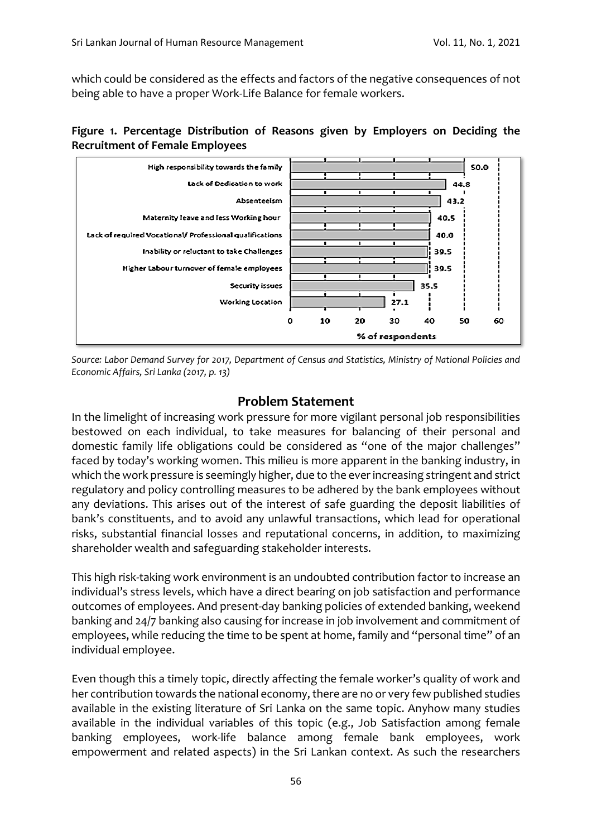which could be considered as the effects and factors of the negative consequences of not being able to have a proper Work-Life Balance for female workers.





*Source: Labor Demand Survey for 2017, Department of Census and Statistics, Ministry of National Policies and Economic Affairs, Sri Lanka (2017, p. 13)*

## **Problem Statement**

In the limelight of increasing work pressure for more vigilant personal job responsibilities bestowed on each individual, to take measures for balancing of their personal and domestic family life obligations could be considered as "one of the major challenges" faced by today's working women. This milieu is more apparent in the banking industry, in which the work pressure is seemingly higher, due to the ever increasing stringent and strict regulatory and policy controlling measures to be adhered by the bank employees without any deviations. This arises out of the interest of safe guarding the deposit liabilities of bank's constituents, and to avoid any unlawful transactions, which lead for operational risks, substantial financial losses and reputational concerns, in addition, to maximizing shareholder wealth and safeguarding stakeholder interests.

This high risk-taking work environment is an undoubted contribution factor to increase an individual's stress levels, which have a direct bearing on job satisfaction and performance outcomes of employees. And present-day banking policies of extended banking, weekend banking and 24/7 banking also causing for increase in job involvement and commitment of employees, while reducing the time to be spent at home, family and "personal time" of an individual employee.

Even though this a timely topic, directly affecting the female worker's quality of work and her contribution towards the national economy, there are no or very few published studies available in the existing literature of Sri Lanka on the same topic. Anyhow many studies available in the individual variables of this topic (e.g., Job Satisfaction among female banking employees, work-life balance among female bank employees, work empowerment and related aspects) in the Sri Lankan context. As such the researchers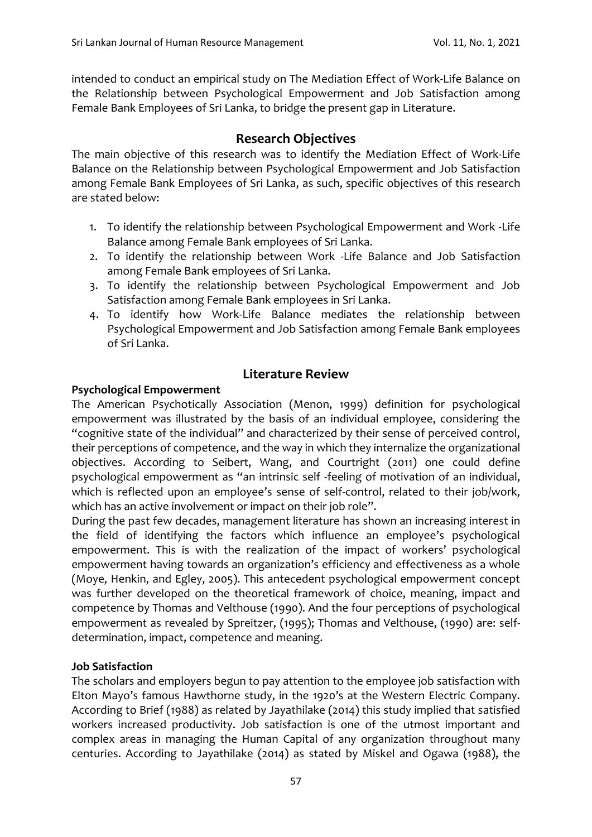intended to conduct an empirical study on The Mediation Effect of Work-Life Balance on the Relationship between Psychological Empowerment and Job Satisfaction among Female Bank Employees of Sri Lanka, to bridge the present gap in Literature.

## **Research Objectives**

The main objective of this research was to identify the Mediation Effect of Work-Life Balance on the Relationship between Psychological Empowerment and Job Satisfaction among Female Bank Employees of Sri Lanka, as such, specific objectives of this research are stated below:

- 1. To identify the relationship between Psychological Empowerment and Work -Life Balance among Female Bank employees of Sri Lanka.
- 2. To identify the relationship between Work -Life Balance and Job Satisfaction among Female Bank employees of Sri Lanka.
- 3. To identify the relationship between Psychological Empowerment and Job Satisfaction among Female Bank employees in Sri Lanka.
- 4. To identify how Work-Life Balance mediates the relationship between Psychological Empowerment and Job Satisfaction among Female Bank employees of Sri Lanka.

## **Psychological Empowerment**

## **Literature Review**

The American Psychotically Association (Menon, 1999) definition for psychological empowerment was illustrated by the basis of an individual employee, considering the "cognitive state of the individual" and characterized by their sense of perceived control, their perceptions of competence, and the way in which they internalize the organizational objectives. According to Seibert, Wang, and Courtright (2011) one could define psychological empowerment as "an intrinsic self -feeling of motivation of an individual, which is reflected upon an employee's sense of self-control, related to their job/work, which has an active involvement or impact on their job role".

During the past few decades, management literature has shown an increasing interest in the field of identifying the factors which influence an employee's psychological empowerment. This is with the realization of the impact of workers' psychological empowerment having towards an organization's efficiency and effectiveness as a whole (Moye, Henkin, and Egley, 2005). This antecedent psychological empowerment concept was further developed on the theoretical framework of choice, meaning, impact and competence by Thomas and Velthouse (1990). And the four perceptions of psychological empowerment as revealed by Spreitzer, (1995); Thomas and Velthouse, (1990) are: selfdetermination, impact, competence and meaning.

## **Job Satisfaction**

The scholars and employers begun to pay attention to the employee job satisfaction with Elton Mayo's famous Hawthorne study, in the 1920's at the Western Electric Company. According to Brief (1988) as related by Jayathilake (2014) this study implied that satisfied workers increased productivity. Job satisfaction is one of the utmost important and complex areas in managing the Human Capital of any organization throughout many centuries. According to Jayathilake (2014) as stated by Miskel and Ogawa (1988), the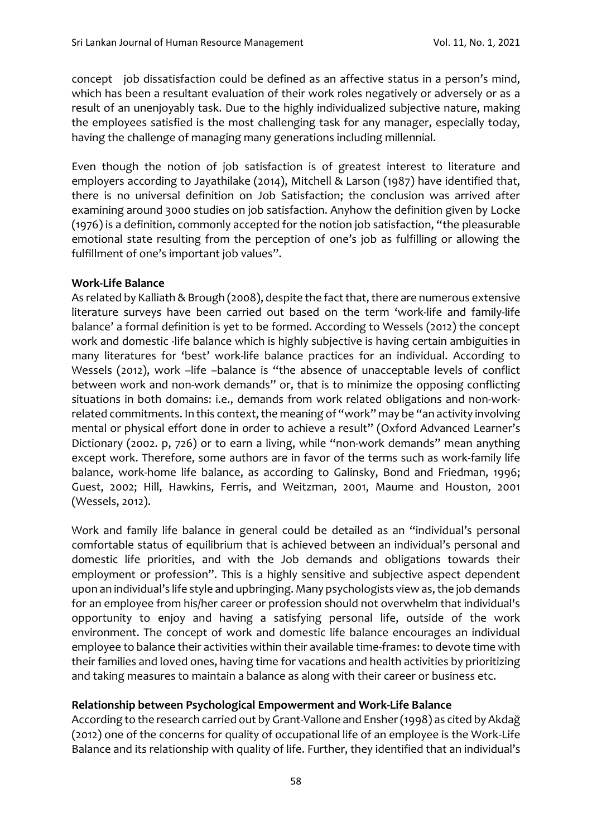concept job dissatisfaction could be defined as an affective status in a person's mind, which has been a resultant evaluation of their work roles negatively or adversely or as a result of an unenjoyably task. Due to the highly individualized subjective nature, making the employees satisfied is the most challenging task for any manager, especially today, having the challenge of managing many generations including millennial.

Even though the notion of job satisfaction is of greatest interest to literature and employers according to Jayathilake (2014), Mitchell & Larson (1987) have identified that, there is no universal definition on Job Satisfaction; the conclusion was arrived after examining around 3000 studies on job satisfaction. Anyhow the definition given by Locke (1976) is a definition, commonly accepted for the notion job satisfaction, "the pleasurable emotional state resulting from the perception of one's job as fulfilling or allowing the fulfillment of one's important job values".

#### **Work-Life Balance**

As related by Kalliath & Brough (2008), despite the fact that, there are numerous extensive literature surveys have been carried out based on the term 'work-life and family-life balance' a formal definition is yet to be formed. According to Wessels (2012) the concept work and domestic -life balance which is highly subjective is having certain ambiguities in many literatures for 'best' work-life balance practices for an individual. According to Wessels (2012), work -life -balance is "the absence of unacceptable levels of conflict between work and non-work demands" or, that is to minimize the opposing conflicting situations in both domains: i.e., demands from work related obligations and non-workrelated commitments. In this context, the meaning of "work" may be "an activity involving mental or physical effort done in order to achieve a result" (Oxford Advanced Learner's Dictionary (2002. p, 726) or to earn a living, while "non-work demands" mean anything except work. Therefore, some authors are in favor of the terms such as work-family life balance, work-home life balance, as according to Galinsky, Bond and Friedman, 1996; Guest, 2002; Hill, Hawkins, Ferris, and Weitzman, 2001, Maume and Houston, 2001 (Wessels, 2012).

Work and family life balance in general could be detailed as an "individual's personal comfortable status of equilibrium that is achieved between an individual's personal and domestic life priorities, and with the Job demands and obligations towards their employment or profession". This is a highly sensitive and subjective aspect dependent upon an individual's life style and upbringing. Many psychologists view as, the job demands for an employee from his/her career or profession should not overwhelm that individual's opportunity to enjoy and having a satisfying personal life, outside of the work environment. The concept of work and domestic life balance encourages an individual employee to balance their activities within their available time-frames: to devote time with their families and loved ones, having time for vacations and health activities by prioritizing and taking measures to maintain a balance as along with their career or business etc.

#### **Relationship between Psychological Empowerment and Work-Life Balance**

According to the research carried out by Grant-Vallone and Ensher (1998) as cited by Akdağ (2012) one of the concerns for quality of occupational life of an employee is the Work-Life Balance and its relationship with quality of life. Further, they identified that an individual's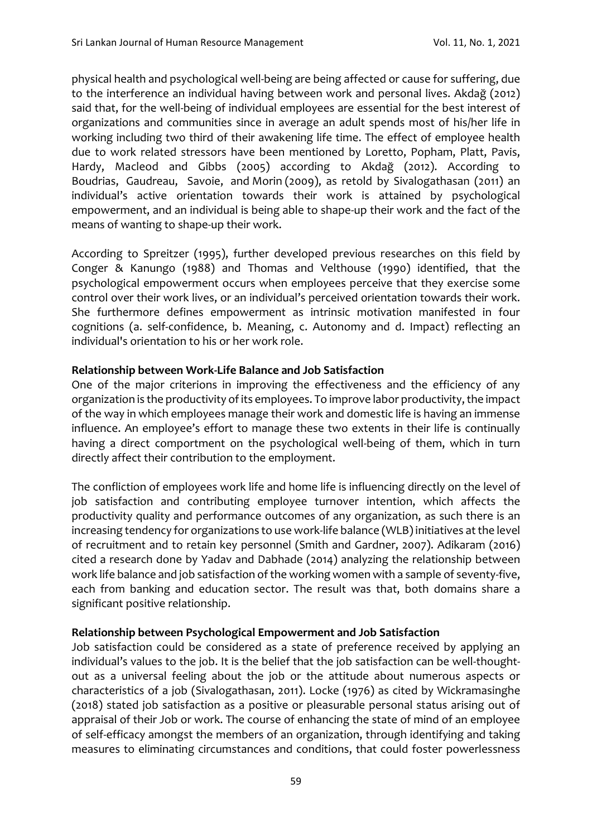physical health and psychological well-being are being affected or cause for suffering, due to the interference an individual having between work and personal lives. Akdağ (2012) said that, for the well-being of individual employees are essential for the best interest of organizations and communities since in average an adult spends most of his/her life in working including two third of their awakening life time. The effect of employee health due to work related stressors have been mentioned by Loretto, Popham, Platt, Pavis, Hardy, Macleod and Gibbs (2005) according to Akdağ (2012). According to [Boudrias,](https://www.emerald.com/insight/search?q=Jean%E2%80%90S%C3%A9bastien%20Boudrias) [Gaudreau,](https://www.emerald.com/insight/search?q=Patrick%20Gaudreau) [Savoie,](https://www.emerald.com/insight/search?q=Andr%C3%A9%20Savoie) and [Morin](https://www.emerald.com/insight/search?q=Alexandre%20J.S.%20Morin) (2009), as retold by Sivalogathasan (2011) an individual's active orientation towards their work is attained by psychological empowerment, and an individual is being able to shape-up their work and the fact of the means of wanting to shape-up their work.

According to Spreitzer (1995), further developed previous researches on this field by Conger & Kanungo (1988) and Thomas and Velthouse (1990) identified, that the psychological empowerment occurs when employees perceive that they exercise some control over their work lives, or an individual's perceived orientation towards their work. She furthermore defines empowerment as intrinsic motivation manifested in four cognitions (a. self-confidence, b. Meaning, c. Autonomy and d. Impact) reflecting an individual's orientation to his or her work role.

#### **Relationship between Work-Life Balance and Job Satisfaction**

One of the major criterions in improving the effectiveness and the efficiency of any organization is the productivity of its employees. To improve labor productivity, the impact of the way in which employees manage their work and domestic life is having an immense influence. An employee's effort to manage these two extents in their life is continually having a direct comportment on the psychological well-being of them, which in turn directly affect their contribution to the employment.

The confliction of employees work life and home life is influencing directly on the level of job satisfaction and contributing employee turnover intention, which affects the productivity quality and performance outcomes of any organization, as such there is an increasing tendency for organizations to use work-life balance (WLB) initiatives at the level of recruitment and to retain key personnel (Smith and Gardner, 2007). Adikaram (2016) cited a research done by Yadav and Dabhade (2014) analyzing the relationship between work life balance and job satisfaction of the working women with a sample of seventy-five, each from banking and education sector. The result was that, both domains share a significant positive relationship.

#### **Relationship between Psychological Empowerment and Job Satisfaction**

Job satisfaction could be considered as a state of preference received by applying an individual's values to the job. It is the belief that the job satisfaction can be well-thoughtout as a universal feeling about the job or the attitude about numerous aspects or characteristics of a job (Sivalogathasan, 2011). Locke (1976) as cited by Wickramasinghe (2018) stated job satisfaction as a positive or pleasurable personal status arising out of appraisal of their Job or work. The course of enhancing the state of mind of an employee of self-efficacy amongst the members of an organization, through identifying and taking measures to eliminating circumstances and conditions, that could foster powerlessness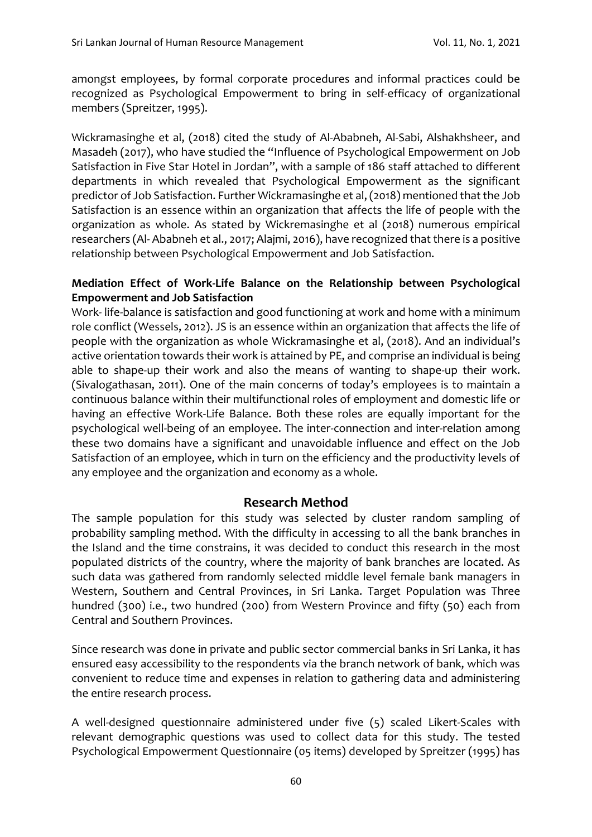amongst employees, by formal corporate procedures and informal practices could be recognized as Psychological Empowerment to bring in self-efficacy of organizational members (Spreitzer, 1995).

Wickramasinghe et al, (2018) cited the study of Al-Ababneh, Al-Sabi, Alshakhsheer, and Masadeh (2017), who have studied the "Influence of Psychological Empowerment on Job Satisfaction in Five Star Hotel in Jordan", with a sample of 186 staff attached to different departments in which revealed that Psychological Empowerment as the significant predictor of Job Satisfaction. Further Wickramasinghe et al, (2018) mentioned that the Job Satisfaction is an essence within an organization that affects the life of people with the organization as whole. As stated by Wickremasinghe et al (2018) numerous empirical researchers (Al- Ababneh et al., 2017; Alajmi, 2016), have recognized that there is a positive relationship between Psychological Empowerment and Job Satisfaction.

#### **Mediation Effect of Work-Life Balance on the Relationship between Psychological Empowerment and Job Satisfaction**

Work- life-balance is satisfaction and good functioning at work and home with a minimum role conflict (Wessels, 2012). JS is an essence within an organization that affects the life of people with the organization as whole Wickramasinghe et al, (2018). And an individual's active orientation towards their work is attained by PE, and comprise an individual is being able to shape-up their work and also the means of wanting to shape-up their work. (Sivalogathasan, 2011). One of the main concerns of today's employees is to maintain a continuous balance within their multifunctional roles of employment and domestic life or having an effective Work-Life Balance. Both these roles are equally important for the psychological well-being of an employee. The inter-connection and inter-relation among these two domains have a significant and unavoidable influence and effect on the Job Satisfaction of an employee, which in turn on the efficiency and the productivity levels of any employee and the organization and economy as a whole.

## **Research Method**

The sample population for this study was selected by cluster random sampling of probability sampling method. With the difficulty in accessing to all the bank branches in the Island and the time constrains, it was decided to conduct this research in the most populated districts of the country, where the majority of bank branches are located. As such data was gathered from randomly selected middle level female bank managers in Western, Southern and Central Provinces, in Sri Lanka. Target Population was Three hundred (300) i.e., two hundred (200) from Western Province and fifty (50) each from Central and Southern Provinces.

Since research was done in private and public sector commercial banks in Sri Lanka, it has ensured easy accessibility to the respondents via the branch network of bank, which was convenient to reduce time and expenses in relation to gathering data and administering the entire research process.

A well-designed questionnaire administered under five (5) scaled Likert-Scales with relevant demographic questions was used to collect data for this study. The tested Psychological Empowerment Questionnaire (05 items) developed by Spreitzer (1995) has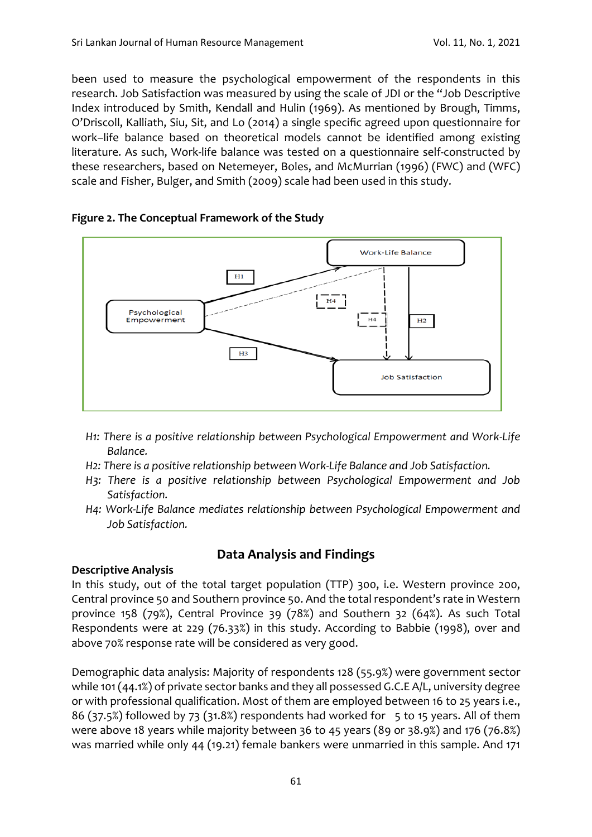been used to measure the psychological empowerment of the respondents in this research. Job Satisfaction was measured by using the scale of JDI or the "Job Descriptive Index introduced by Smith, Kendall and Hulin (1969). As mentioned by Brough, Timms, O'Driscoll, Kalliath, Siu, Sit, and Lo (2014) a single specific agreed upon questionnaire for work–life balance based on theoretical models cannot be identified among existing literature. As such, Work-life balance was tested on a questionnaire self-constructed by these researchers, based on Netemeyer, Boles, and McMurrian (1996) (FWC) and (WFC) scale and Fisher, Bulger, and Smith (2009) scale had been used in this study.



## **Figure 2. The Conceptual Framework of the Study**

- *H1: There is a positive relationship between Psychological Empowerment and Work-Life Balance.*
- *H2: There is a positive relationship between Work-Life Balance and Job Satisfaction.*
- *H3: There is a positive relationship between Psychological Empowerment and Job Satisfaction.*
- *H4: Work-Life Balance mediates relationship between Psychological Empowerment and Job Satisfaction.*

## **Data Analysis and Findings**

## **Descriptive Analysis**

In this study, out of the total target population (TTP) 300, i.e. Western province 200, Central province 50 and Southern province 50. And the total respondent's rate in Western province 158 (79%), Central Province 39 (78%) and Southern 32 (64%). As such Total Respondents were at 229 (76.33%) in this study. According to Babbie (1998), over and above 70% response rate will be considered as very good.

Demographic data analysis: Majority of respondents 128 (55.9%) were government sector while 101 (44.1%) of private sector banks and they all possessed G.C.E A/L, university degree or with professional qualification. Most of them are employed between 16 to 25 years i.e., 86 (37.5%) followed by 73 (31.8%) respondents had worked for  $-5$  to 15 years. All of them were above 18 years while majority between 36 to 45 years (89 or 38.9%) and 176 (76.8%) was married while only 44 (19.21) female bankers were unmarried in this sample. And 171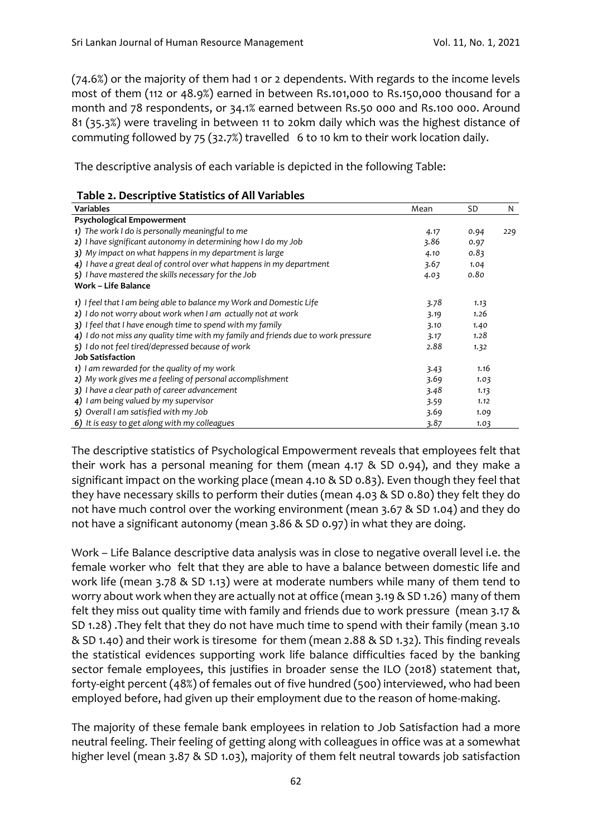(74.6%) or the majority of them had 1 or 2 dependents. With regards to the income levels most of them (112 or 48.9%) earned in between Rs.101,000 to Rs.150,000 thousand for a month and 78 respondents, or 34.1% earned between Rs.50 000 and Rs.100 000. Around 81 (35.3%) were traveling in between 11 to 20km daily which was the highest distance of commuting followed by 75 (32.7%) travelled 6 to 10 km to their work location daily.

The descriptive analysis of each variable is depicted in the following Table:

| <b>Variables</b>                                                                  | Mean | <b>SD</b> | N   |
|-----------------------------------------------------------------------------------|------|-----------|-----|
| <b>Psychological Empowerment</b>                                                  |      |           |     |
| 1) The work I do is personally meaningful to me                                   | 4.17 | 0.94      | 229 |
| 2) I have significant autonomy in determining how I do my Job                     | 3.86 | 0.97      |     |
| 3) My impact on what happens in my department is large                            | 4.10 | 0.83      |     |
| 4) I have a great deal of control over what happens in my department              | 3.67 | 1.04      |     |
| 5) I have mastered the skills necessary for the Job                               | 4.03 | 0.80      |     |
| <b>Work - Life Balance</b>                                                        |      |           |     |
| 1) I feel that I am being able to balance my Work and Domestic Life               | 3.78 | 1.13      |     |
| 2) I do not worry about work when I am actually not at work                       | 3.19 | 1.26      |     |
| 3) I feel that I have enough time to spend with my family                         | 3.10 | 1.40      |     |
| 4) I do not miss any quality time with my family and friends due to work pressure | 3.17 | 1.28      |     |
| 5) I do not feel tired/depressed because of work                                  | 2.88 | 1.32      |     |
| <b>Job Satisfaction</b>                                                           |      |           |     |
| 1) I am rewarded for the quality of my work                                       | 3.43 | 1.16      |     |
| 2) My work gives me a feeling of personal accomplishment                          | 3.69 | 1.03      |     |
| 3) I have a clear path of career advancement                                      | 3.48 | 1.13      |     |
| 4) I am being valued by my supervisor                                             | 3.59 | 1.12      |     |
| 5) Overall I am satisfied with my Job                                             | 3.69 | 1.09      |     |
| 6) It is easy to get along with my colleagues                                     | 3.87 | 1.03      |     |

The descriptive statistics of Psychological Empowerment reveals that employees felt that their work has a personal meaning for them (mean 4.17 & SD 0.94), and they make a significant impact on the working place (mean 4.10 & SD 0.83). Even though they feel that they have necessary skills to perform their duties (mean 4.03 & SD 0.80) they felt they do not have much control over the working environment (mean 3.67 & SD 1.04) and they do not have a significant autonomy (mean 3.86 & SD 0.97) in what they are doing.

Work – Life Balance descriptive data analysis was in close to negative overall level i.e. the female worker who felt that they are able to have a balance between domestic life and work life (mean 3.78 & SD 1.13) were at moderate numbers while many of them tend to worry about work when they are actually not at office (mean 3.19 & SD 1.26) many of them felt they miss out quality time with family and friends due to work pressure (mean 3.17 & SD 1.28) .They felt that they do not have much time to spend with their family (mean 3.10 & SD 1.40) and their work is tiresome for them (mean 2.88 & SD 1.32). This finding reveals the statistical evidences supporting work life balance difficulties faced by the banking sector female employees, this justifies in broader sense the ILO (2018) statement that, forty-eight percent (48%) of females out of five hundred (500) interviewed, who had been employed before, had given up their employment due to the reason of home-making.

The majority of these female bank employees in relation to Job Satisfaction had a more neutral feeling. Their feeling of getting along with colleagues in office was at a somewhat higher level (mean 3.87 & SD 1.03), majority of them felt neutral towards job satisfaction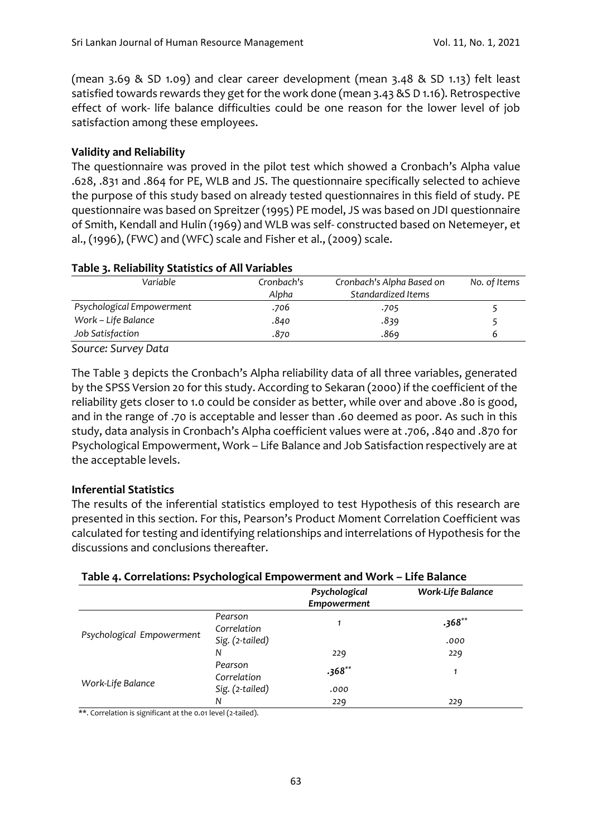(mean 3.69 & SD 1.09) and clear career development (mean 3.48 & SD 1.13) felt least satisfied towards rewards they get for the work done (mean 3.43 &S D 1.16). Retrospective effect of work- life balance difficulties could be one reason for the lower level of job satisfaction among these employees.

## **Validity and Reliability**

The questionnaire was proved in the pilot test which showed a Cronbach's Alpha value .628, .831 and .864 for PE, WLB and JS. The questionnaire specifically selected to achieve the purpose of this study based on already tested questionnaires in this field of study. PE questionnaire was based on Spreitzer (1995) PE model, JS was based on JDI questionnaire of Smith, Kendall and Hulin (1969) and WLB was self- constructed based on Netemeyer, et al., (1996), (FWC) and (WFC) scale and Fisher et al., (2009) scale.

| Variable                  | Cronbach's | Cronbach's Alpha Based on | No. of Items |  |
|---------------------------|------------|---------------------------|--------------|--|
|                           | Alpha      | Standardized Items        |              |  |
| Psychological Empowerment | .706       | .705                      |              |  |
| Work - Life Balance       | .840       | .839                      |              |  |
| Job Satisfaction          | .870       | .869                      | ь            |  |

#### **Table 3. Reliability Statistics of All Variables**

*Source: Survey Data*

The Table 3 depicts the Cronbach's Alpha reliability data of all three variables, generated by the SPSS Version 20 for this study. According to Sekaran (2000) if the coefficient of the reliability gets closer to 1.0 could be consider as better, while over and above .80 is good, and in the range of .70 is acceptable and lesser than .60 deemed as poor. As such in this study, data analysis in Cronbach's Alpha coefficient values were at .706, .840 and .870 for Psychological Empowerment, Work – Life Balance and Job Satisfaction respectively are at the acceptable levels.

## **Inferential Statistics**

The results of the inferential statistics employed to test Hypothesis of this research are presented in this section. For this, Pearson's Product Moment Correlation Coefficient was calculated for testing and identifying relationships and interrelations of Hypothesis for the discussions and conclusions thereafter.

## **Table 4. Correlations: Psychological Empowerment and Work – Life Balance**

|                           |                        | Psychological<br>Empowerment | Work-Life Balance |
|---------------------------|------------------------|------------------------------|-------------------|
|                           | Pearson<br>Correlation |                              | $.368**$          |
| Psychological Empowerment | Sig. (2-tailed)        |                              | .000              |
|                           | N                      | 229                          | 229               |
| Work-Life Balance         | Pearson<br>Correlation | $.368**$                     | 1                 |
|                           | Sig. (2-tailed)        | .000                         |                   |
|                           | N                      | 229                          | 229               |

\*\*. Correlation is significant at the 0.01 level (2-tailed).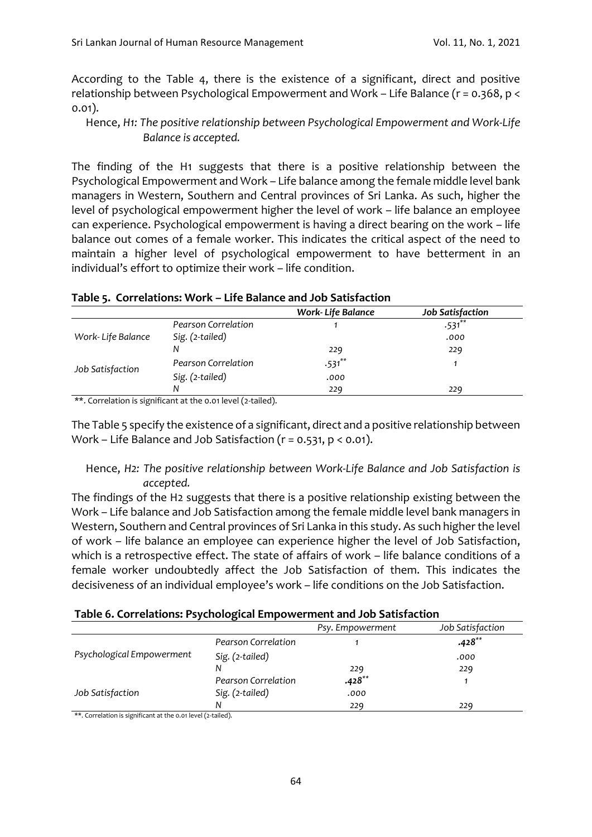According to the Table 4, there is the existence of a significant, direct and positive relationship between Psychological Empowerment and Work – Life Balance (r = 0.368, p < 0.01).

Hence, *H1: The positive relationship between Psychological Empowerment and Work-Life Balance is accepted.*

The finding of the H1 suggests that there is a positive relationship between the Psychological Empowerment and Work – Life balance among the female middle level bank managers in Western, Southern and Central provinces of Sri Lanka. As such, higher the level of psychological empowerment higher the level of work – life balance an employee can experience. Psychological empowerment is having a direct bearing on the work – life balance out comes of a female worker. This indicates the critical aspect of the need to maintain a higher level of psychological empowerment to have betterment in an individual's effort to optimize their work – life condition.

|                     | <b>Work-Life Balance</b> | <b>Job Satisfaction</b> |
|---------------------|--------------------------|-------------------------|
| Pearson Correlation |                          | $.531***$               |
| Sig. (2-tailed)     |                          | .000                    |
| N                   | 229                      | 229                     |
| Pearson Correlation | $.531$ **                |                         |
| Sig. (2-tailed)     | .000                     |                         |
| N                   | 229                      | 229                     |
|                     |                          |                         |

#### **Table 5. Correlations: Work – Life Balance and Job Satisfaction**

\*\*. Correlation is significant at the 0.01 level (2-tailed).

The Table 5 specify the existence of a significant, direct and a positive relationship between Work – Life Balance and Job Satisfaction ( $r = 0.531$ ,  $p < 0.01$ ).

#### Hence, *H2: The positive relationship between Work-Life Balance and Job Satisfaction is accepted.*

The findings of the H2 suggests that there is a positive relationship existing between the Work – Life balance and Job Satisfaction among the female middle level bank managers in Western, Southern and Central provinces of Sri Lanka in this study. As such higher the level of work – life balance an employee can experience higher the level of Job Satisfaction, which is a retrospective effect. The state of affairs of work – life balance conditions of a female worker undoubtedly affect the Job Satisfaction of them. This indicates the decisiveness of an individual employee's work – life conditions on the Job Satisfaction.

#### **Table 6. Correlations: Psychological Empowerment and Job Satisfaction**

|                           |                     | Psy. Empowerment | Job Satisfaction |
|---------------------------|---------------------|------------------|------------------|
|                           | Pearson Correlation |                  | $.428**$         |
| Psychological Empowerment | Sig. (2-tailed)     |                  | .000             |
|                           | N                   | 229              | 229              |
|                           | Pearson Correlation | $.428**$         |                  |
| Job Satisfaction          | Sig. (2-tailed)     | .000             |                  |
|                           | N                   | 229              | 229              |

\*\*. Correlation is significant at the 0.01 level (2-tailed).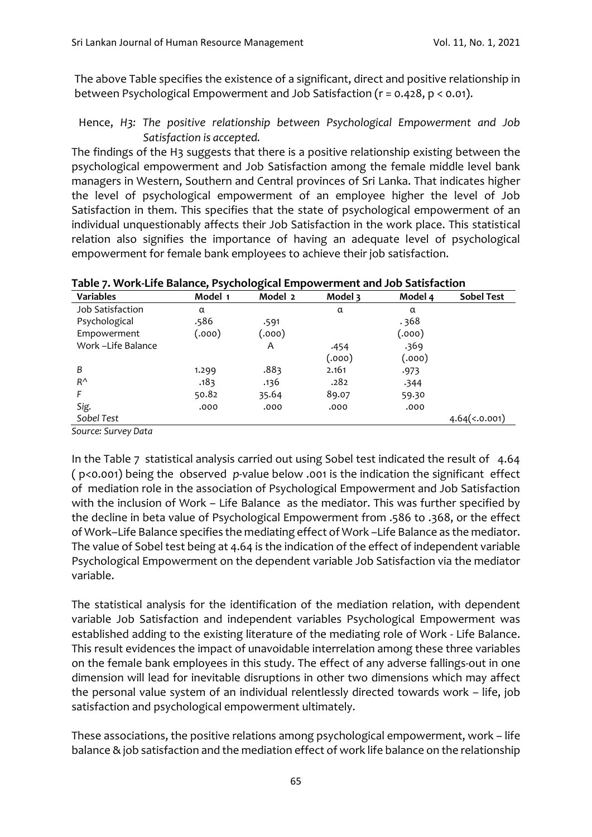The above Table specifies the existence of a significant, direct and positive relationship in between Psychological Empowerment and Job Satisfaction (r = 0.428, p < 0.01).

## Hence, *H3: The positive relationship between Psychological Empowerment and Job Satisfaction is accepted.*

The findings of the H3 suggests that there is a positive relationship existing between the psychological empowerment and Job Satisfaction among the female middle level bank managers in Western, Southern and Central provinces of Sri Lanka. That indicates higher the level of psychological empowerment of an employee higher the level of Job Satisfaction in them. This specifies that the state of psychological empowerment of an individual unquestionably affects their Job Satisfaction in the work place. This statistical relation also signifies the importance of having an adequate level of psychological empowerment for female bank employees to achieve their job satisfaction.

| Table 7. You K-Life Dalance, Psychological Empowerment and Job Satisfaction |         |         |         |         |                     |
|-----------------------------------------------------------------------------|---------|---------|---------|---------|---------------------|
| <b>Variables</b>                                                            | Model 1 | Model 2 | Model 3 | Model 4 | <b>Sobel Test</b>   |
| Job Satisfaction                                                            | α       |         | α       | α       |                     |
| Psychological                                                               | .586    | .591    |         | .368    |                     |
| Empowerment                                                                 | (.000)  | (.000)  |         | (.000)  |                     |
| Work -Life Balance                                                          |         | A       | .454    | .369    |                     |
|                                                                             |         |         | (.000)  | (.000)  |                     |
| B                                                                           | 1.299   | .883    | 2.161   | .973    |                     |
| $R^{\Lambda}$                                                               | .183    | .136    | .282    | 344ء    |                     |
|                                                                             | 50.82   | 35.64   | 89.07   | 59.30   |                     |
| Sig.                                                                        | .000    | .000    | .000    | .000    |                     |
| Sobel Test                                                                  |         |         |         |         | $4.64 \times 0.001$ |

## **Table 7. Work-Life Balance, Psychological Empowerment and Job Satisfaction**

*Source: Survey Data*

In the Table 7 statistical analysis carried out using Sobel test indicated the result of 4.64 ( p<0.001) being the observed *p-*value below .001 is the indication the significant effect of mediation role in the association of Psychological Empowerment and Job Satisfaction with the inclusion of Work – Life Balance as the mediator. This was further specified by the decline in beta value of Psychological Empowerment from .586 to .368, or the effect of Work–Life Balance specifies the mediating effect of Work –Life Balance as the mediator. The value of Sobel test being at 4.64 is the indication of the effect of independent variable Psychological Empowerment on the dependent variable Job Satisfaction via the mediator variable.

The statistical analysis for the identification of the mediation relation, with dependent variable Job Satisfaction and independent variables Psychological Empowerment was established adding to the existing literature of the mediating role of Work - Life Balance. This result evidences the impact of unavoidable interrelation among these three variables on the female bank employees in this study. The effect of any adverse fallings-out in one dimension will lead for inevitable disruptions in other two dimensions which may affect the personal value system of an individual relentlessly directed towards work – life, job satisfaction and psychological empowerment ultimately.

These associations, the positive relations among psychological empowerment, work – life balance & job satisfaction and the mediation effect of work life balance on the relationship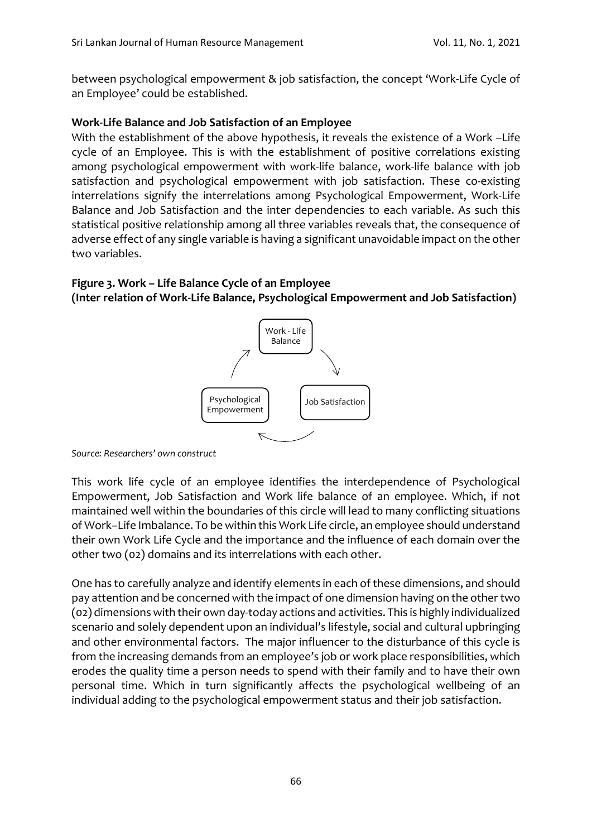between psychological empowerment & job satisfaction, the concept 'Work-Life Cycle of an Employee' could be established.

#### **Work-Life Balance and Job Satisfaction of an Employee**

With the establishment of the above hypothesis, it reveals the existence of a Work –Life cycle of an Employee. This is with the establishment of positive correlations existing among psychological empowerment with work-life balance, work-life balance with job satisfaction and psychological empowerment with job satisfaction. These co-existing interrelations signify the interrelations among Psychological Empowerment, Work-Life Balance and Job Satisfaction and the inter dependencies to each variable. As such this statistical positive relationship among all three variables reveals that, the consequence of adverse effect of any single variable is having a significant unavoidable impact on the other two variables.

#### **Figure 3. Work – Life Balance Cycle of an Employee (Inter relation of Work-Life Balance, Psychological Empowerment and Job Satisfaction)**



*Source: Researchers' own construct*

This work life cycle of an employee identifies the interdependence of Psychological Empowerment, Job Satisfaction and Work life balance of an employee. Which, if not maintained well within the boundaries of this circle will lead to many conflicting situations of Work–Life Imbalance. To be within this Work Life circle, an employee should understand their own Work Life Cycle and the importance and the influence of each domain over the other two (02) domains and its interrelations with each other.

One has to carefully analyze and identify elements in each of these dimensions, and should pay attention and be concerned with the impact of one dimension having on the other two (02) dimensions with their own day-today actions and activities. This is highly individualized scenario and solely dependent upon an individual's lifestyle, social and cultural upbringing and other environmental factors. The major influencer to the disturbance of this cycle is from the increasing demands from an employee's job or work place responsibilities, which erodes the quality time a person needs to spend with their family and to have their own personal time. Which in turn significantly affects the psychological wellbeing of an individual adding to the psychological empowerment status and their job satisfaction.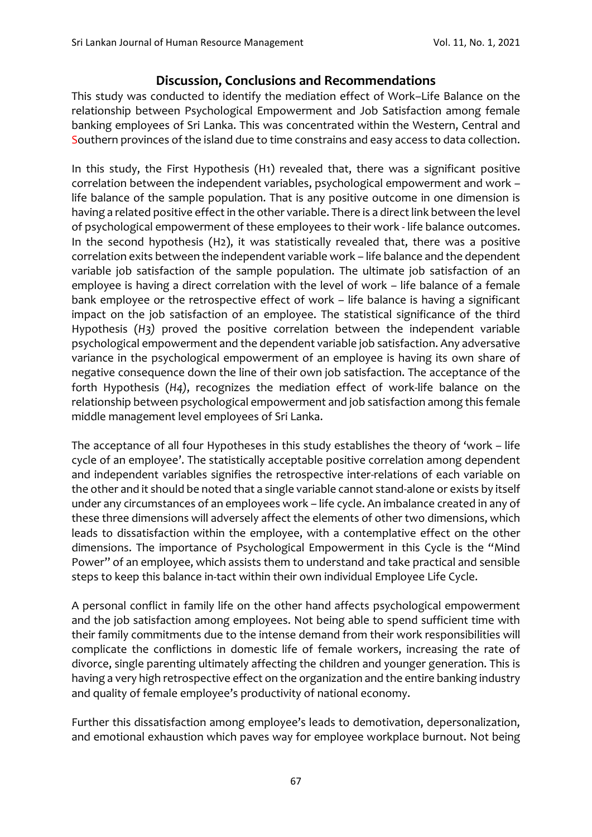## **Discussion, Conclusions and Recommendations**

This study was conducted to identify the mediation effect of Work–Life Balance on the relationship between Psychological Empowerment and Job Satisfaction among female banking employees of Sri Lanka. This was concentrated within the Western, Central and Southern provinces of the island due to time constrains and easy access to data collection.

In this study, the First Hypothesis (H1) revealed that, there was a significant positive correlation between the independent variables, psychological empowerment and work – life balance of the sample population. That is any positive outcome in one dimension is having a related positive effect in the other variable. There is a direct link between the level of psychological empowerment of these employees to their work - life balance outcomes. In the second hypothesis (H2), it was statistically revealed that, there was a positive correlation exits between the independent variable work – life balance and the dependent variable job satisfaction of the sample population. The ultimate job satisfaction of an employee is having a direct correlation with the level of work – life balance of a female bank employee or the retrospective effect of work – life balance is having a significant impact on the job satisfaction of an employee. The statistical significance of the third Hypothesis (*H3)* proved the positive correlation between the independent variable psychological empowerment and the dependent variable job satisfaction. Any adversative variance in the psychological empowerment of an employee is having its own share of negative consequence down the line of their own job satisfaction. The acceptance of the forth Hypothesis (*H4)*, recognizes the mediation effect of work-life balance on the relationship between psychological empowerment and job satisfaction among this female middle management level employees of Sri Lanka.

The acceptance of all four Hypotheses in this study establishes the theory of 'work – life cycle of an employee'. The statistically acceptable positive correlation among dependent and independent variables signifies the retrospective inter-relations of each variable on the other and it should be noted that a single variable cannot stand-alone or exists by itself under any circumstances of an employees work – life cycle. An imbalance created in any of these three dimensions will adversely affect the elements of other two dimensions, which leads to dissatisfaction within the employee, with a contemplative effect on the other dimensions. The importance of Psychological Empowerment in this Cycle is the "Mind Power" of an employee, which assists them to understand and take practical and sensible steps to keep this balance in-tact within their own individual Employee Life Cycle.

A personal conflict in family life on the other hand affects psychological empowerment and the job satisfaction among employees. Not being able to spend sufficient time with their family commitments due to the intense demand from their work responsibilities will complicate the conflictions in domestic life of female workers, increasing the rate of divorce, single parenting ultimately affecting the children and younger generation. This is having a very high retrospective effect on the organization and the entire banking industry and quality of female employee's productivity of national economy.

Further this dissatisfaction among employee's leads to demotivation, depersonalization, and emotional exhaustion which paves way for employee workplace burnout. Not being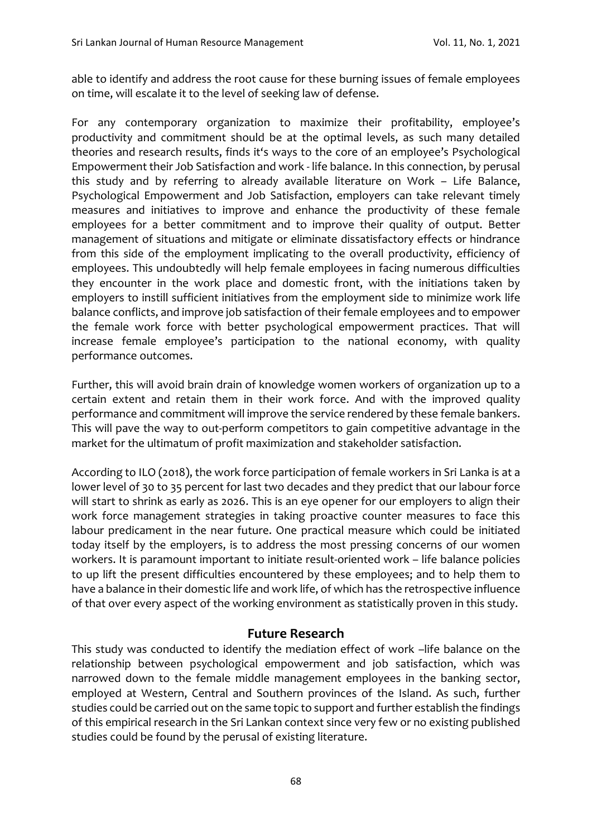able to identify and address the root cause for these burning issues of female employees on time, will escalate it to the level of seeking law of defense.

For any contemporary organization to maximize their profitability, employee's productivity and commitment should be at the optimal levels, as such many detailed theories and research results, finds it's ways to the core of an employee's Psychological Empowerment their Job Satisfaction and work - life balance. In this connection, by perusal this study and by referring to already available literature on Work – Life Balance, Psychological Empowerment and Job Satisfaction, employers can take relevant timely measures and initiatives to improve and enhance the productivity of these female employees for a better commitment and to improve their quality of output. Better management of situations and mitigate or eliminate dissatisfactory effects or hindrance from this side of the employment implicating to the overall productivity, efficiency of employees. This undoubtedly will help female employees in facing numerous difficulties they encounter in the work place and domestic front, with the initiations taken by employers to instill sufficient initiatives from the employment side to minimize work life balance conflicts, and improve job satisfaction of their female employees and to empower the female work force with better psychological empowerment practices. That will increase female employee's participation to the national economy, with quality performance outcomes.

Further, this will avoid brain drain of knowledge women workers of organization up to a certain extent and retain them in their work force. And with the improved quality performance and commitment will improve the service rendered by these female bankers. This will pave the way to out-perform competitors to gain competitive advantage in the market for the ultimatum of profit maximization and stakeholder satisfaction.

According to ILO (2018), the work force participation of female workers in Sri Lanka is at a lower level of 30 to 35 percent for last two decades and they predict that our labour force will start to shrink as early as 2026. This is an eye opener for our employers to align their work force management strategies in taking proactive counter measures to face this labour predicament in the near future. One practical measure which could be initiated today itself by the employers, is to address the most pressing concerns of our women workers. It is paramount important to initiate result-oriented work – life balance policies to up lift the present difficulties encountered by these employees; and to help them to have a balance in their domestic life and work life, of which has the retrospective influence of that over every aspect of the working environment as statistically proven in this study.

#### **Future Research**

This study was conducted to identify the mediation effect of work –life balance on the relationship between psychological empowerment and job satisfaction, which was narrowed down to the female middle management employees in the banking sector, employed at Western, Central and Southern provinces of the Island. As such, further studies could be carried out on the same topic to support and further establish the findings of this empirical research in the Sri Lankan context since very few or no existing published studies could be found by the perusal of existing literature.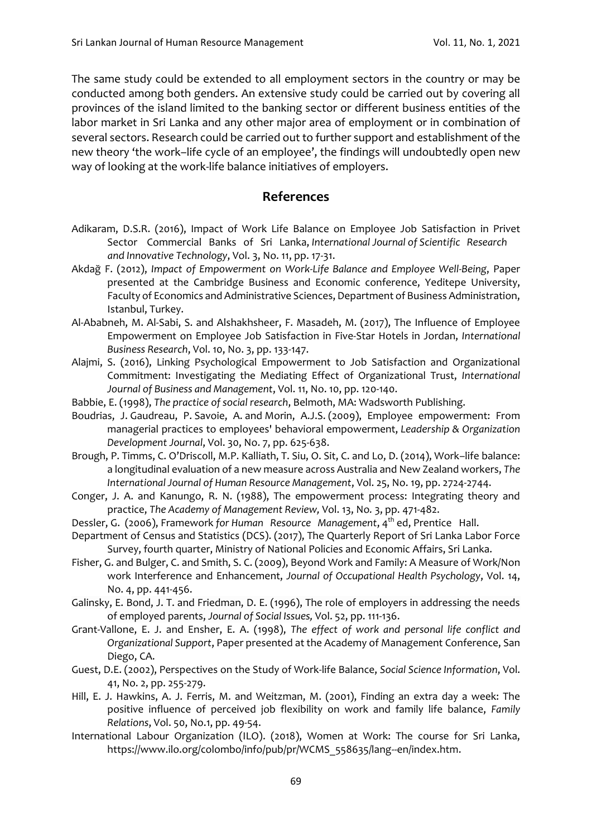The same study could be extended to all employment sectors in the country or may be conducted among both genders. An extensive study could be carried out by covering all provinces of the island limited to the banking sector or different business entities of the labor market in Sri Lanka and any other major area of employment or in combination of several sectors. Research could be carried out to further support and establishment of the new theory 'the work–life cycle of an employee', the findings will undoubtedly open new way of looking at the work-life balance initiatives of employers.

#### **References**

- Adikaram, D.S.R. (2016), Impact of Work Life Balance on Employee Job Satisfaction in Privet Sector Commercial Banks of Sri Lanka, *International Journal of Scientific Research and Innovative Technology*, Vol. 3, No. 11, pp. 17-31.
- Akdağ F. (2012), *Impact of Empowerment on Work-Life Balance and Employee Well-Being*, Paper presented at the Cambridge Business and Economic conference, Yeditepe University, Faculty of Economics and Administrative Sciences, Department of Business Administration, Istanbul, Turkey.
- Al-Ababneh, M. Al-Sabi, S. and Alshakhsheer, F. Masadeh, M. (2017), The Influence of Employee Empowerment on Employee Job Satisfaction in Five-Star Hotels in Jordan, *International Business Research*, Vol. 10, No. 3, pp. 133-147.
- Alajmi, S. (2016), Linking Psychological Empowerment to Job Satisfaction and Organizational Commitment: Investigating the Mediating Effect of Organizational Trust, *International Journal of Business and Management*, Vol. 11, No. 10, pp. 120-140.
- Babbie, E. (1998), *The practice of social research*, Belmoth, MA: Wadsworth Publishing.
- [Boudrias, J.](https://www.emerald.com/insight/search?q=Jean%E2%80%90S%C3%A9bastien%20Boudrias) [Gaudreau, P.](https://www.emerald.com/insight/search?q=Patrick%20Gaudreau) [Savoie, A.](https://www.emerald.com/insight/search?q=Andr%C3%A9%20Savoie) and [Morin, A.J.S.](https://www.emerald.com/insight/search?q=Alexandre%20J.S.%20Morin) (2009), Employee empowerment: From managerial practices to employees' behavioral empowerment, *[Leadership & Organization](https://www.emerald.com/insight/publication/issn/0143-7739)  [Development Journal](https://www.emerald.com/insight/publication/issn/0143-7739)*, Vol. 30, No. 7, pp. 625-638.
- Brough, P. Timms, C. O'Driscoll, M.P. Kalliath, T. Siu, O. Sit, C. and Lo, D. (2014), Work–life balance: a longitudinal evaluation of a new measure across Australia and New Zealand workers, *The International Journal of Human Resource Management*, Vol. 25, No. 19, pp. 2724-2744.
- Conger, J. A. and Kanungo, R. N. (1988), The empowerment process: Integrating theory and practice, *The Academy of Management Review,* Vol. 13, No*.* 3, pp. 471-482.
- Dessler, G. (2006), Framework for Human Resource Management, 4<sup>th</sup> ed, Prentice Hall.
- Department of Census and Statistics (DCS). (2017), The Quarterly Report of Sri Lanka Labor Force Survey, fourth quarter, Ministry of National Policies and Economic Affairs, Sri Lanka.
- Fisher, G. and Bulger, C. and Smith, S. C. (2009), Beyond Work and Family: A Measure of Work/Non work Interference and Enhancement, *Journal of Occupational Health Psychology*, Vol. 14, No. 4, pp. 441-456.
- Galinsky, E. Bond, J. T. and Friedman, D. E. (1996), The role of employers in addressing the needs of employed parents, *Journal of Social Issues,* Vol. 52, pp. 111-136.
- Grant-Vallone, E. J. and Ensher, E. A. (1998), *The effect of work and personal life conflict and Organizational Support*, Paper presented at the Academy of Management Conference, San Diego, CA.
- Guest, D.E. (2002), Perspectives on the Study of Work-life Balance, *Social Science Information*, Vol. 41, No. 2, pp. 255-279.
- Hill, E. J. Hawkins, A. J. Ferris, M. and Weitzman, M. (2001), Finding an extra day a week: The positive influence of perceived job flexibility on work and family life balance, *Family Relations*, Vol. 50, No.1, pp. 49-54.
- International Labour Organization (ILO). (2018), Women at Work: The course for Sri Lanka, https://www.ilo.org/colombo/info/pub/pr/WCMS\_558635/lang--en/index.htm.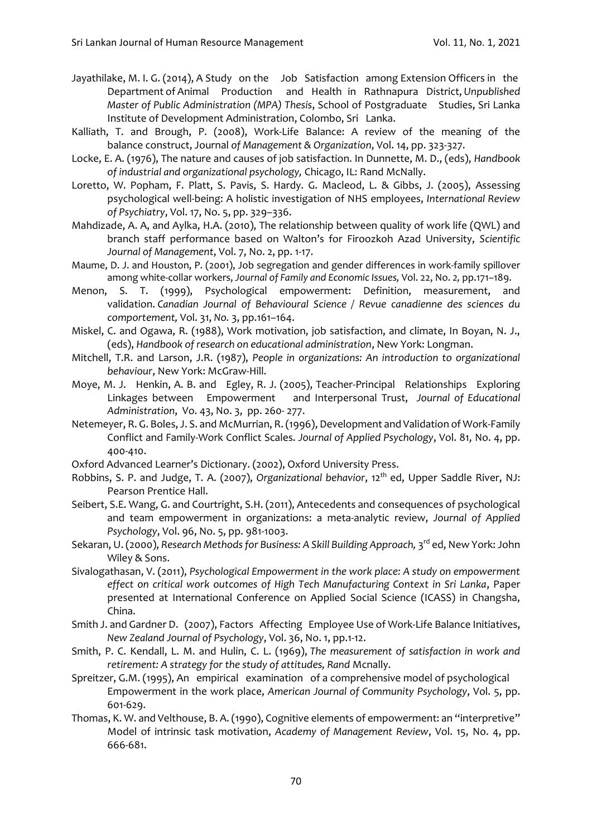- Jayathilake, M. I. G. (2014), A Study on the Job Satisfaction among Extension Officers in the Department of Animal Production and Health in Rathnapura District, *Unpublished Master of Public Administration (MPA) Thesis*, School of Postgraduate Studies, Sri Lanka Institute of Development Administration, Colombo, Sri Lanka.
- Kalliath, T. and Brough, P. (2008), Work-Life Balance: A review of the meaning of the balance construct, Journal *of Management & Organization*, Vol. 14, pp. 323-327.
- Locke, E. A. (1976), The nature and causes of job satisfaction. In Dunnette, M. D., (eds), *Handbook of industrial and organizational psychology,* Chicago, IL: Rand McNally.
- Loretto, W. Popham, F. Platt, S. Pavis, S. Hardy. G. Macleod, L. & Gibbs, J. (2005), Assessing psychological well-being: A holistic investigation of NHS employees, *International Review of Psychiatry*, Vol. 17, No. 5, pp. 329–336.
- Mahdizade, A. A, and Aylka, H.A. (2010), The relationship between quality of work life (QWL) and branch staff performance based on Walton's for Firoozkoh Azad University, *Scientific Journal of Management*, Vol. 7, No. 2, pp. 1-17.
- Maume, D. J. and Houston, P. (2001), Job segregation and gender differences in work-family spillover among white-collar workers, *Journal of Family and Economic Issues,* Vol. 22, No. *2,* pp.171–189.
- Menon, S. T. (1999), Psychological empowerment: Definition, measurement, and validation. *Canadian Journal of Behavioural Science / Revue canadienne des sciences du comportement,* Vol. 31, *No.* 3, pp.161–164.
- Miskel, C. and Ogawa, R. (1988), Work motivation, job satisfaction, and climate, In Boyan, N. J., (eds), *Handbook of research on educational administration*, New York: Longman.
- Mitchell, T.R. and Larson, J.R. (1987), *People in organizations: An introduction to organizational behaviour*, New York: McGraw-Hill.
- Moye, M. J. Henkin, A. B. and Egley, R. J. (2005), Teacher-Principal Relationships Exploring Linkages between Empowerment and Interpersonal Trust, *Journal of Educational Administration*, Vo. 43, No. 3, pp. 260- 277.
- Netemeyer, R. G. Boles, J. S. and McMurrian, R. (1996), Development and Validation of Work-Family Conflict and Family-Work Conflict Scales. *Journal of Applied Psychology*, Vol. 81, No. 4, pp. 400-410.
- Oxford Advanced Learner's Dictionary. (2002), Oxford University Press.
- Robbins, S. P. and Judge, T. A. (2007), *Organizational behavior*, 12th ed, Upper Saddle River, NJ: Pearson Prentice Hall.
- Seibert, S.E. Wang, G. and Courtright, S.H. (2011), Antecedents and consequences of psychological and team empowerment in organizations: a meta-analytic review, *Journal of Applied Psychology*, Vol. 96, No. 5, pp. 981-1003.
- Sekaran, U. (2000), *Research Methods for Business: A Skill Building Approach, 3<sup>rd</sup> ed, New York: John* Wiley & Sons.
- Sivalogathasan, V. (2011), *Psychological Empowerment in the work place: A study on empowerment effect on critical work outcomes of High Tech Manufacturing Context in Sri Lanka*, Paper presented at International Conference on Applied Social Science (ICASS) in Changsha, China.
- Smith J. and Gardner D. (2007), Factors Affecting Employee Use of Work-Life Balance Initiatives, *New Zealand Journal of Psychology*, Vol. 36, No. 1, pp.1-12.
- Smith, P. C. Kendall, L. M. and Hulin, C. L. (1969), *The measurement of satisfaction in work and retirement: A strategy for the study of attitudes, Rand* Mcnally.
- Spreitzer, G.M. (1995), An empirical examination of a comprehensive model of psychological Empowerment in the work place, *American Journal of Community Psychology*, Vol. 5, pp. 601-629.
- Thomas, K. W. and Velthouse, B. A. (1990), Cognitive elements of empowerment: an "interpretive" Model of intrinsic task motivation, *Academy of Management Review*, Vol. 15, No. 4, pp. 666-681.